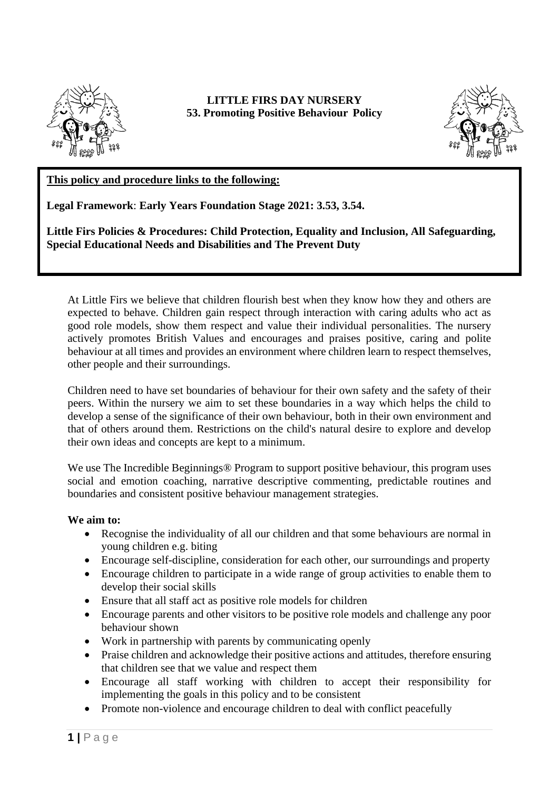

**LITTLE FIRS DAY NURSERY 53. Promoting Positive Behaviour Policy**



## **This policy and procedure links to the following:**

**Legal Framework**: **Early Years Foundation Stage 2021: 3.53, 3.54.**

**Little Firs Policies & Procedures: Child Protection, Equality and Inclusion, All Safeguarding, Special Educational Needs and Disabilities and The Prevent Duty**

At Little Firs we believe that children flourish best when they know how they and others are expected to behave. Children gain respect through interaction with caring adults who act as good role models, show them respect and value their individual personalities. The nursery actively promotes British Values and encourages and praises positive, caring and polite behaviour at all times and provides an environment where children learn to respect themselves, other people and their surroundings.

Children need to have set boundaries of behaviour for their own safety and the safety of their peers. Within the nursery we aim to set these boundaries in a way which helps the child to develop a sense of the significance of their own behaviour, both in their own environment and that of others around them. Restrictions on the child's natural desire to explore and develop their own ideas and concepts are kept to a minimum.

We use The Incredible Beginnings<sup>®</sup> Program to support positive behaviour, this program uses social and emotion coaching, narrative descriptive commenting, predictable routines and boundaries and consistent positive behaviour management strategies.

## **We aim to:**

- Recognise the individuality of all our children and that some behaviours are normal in young children e.g. biting
- Encourage self-discipline, consideration for each other, our surroundings and property
- Encourage children to participate in a wide range of group activities to enable them to develop their social skills
- Ensure that all staff act as positive role models for children
- Encourage parents and other visitors to be positive role models and challenge any poor behaviour shown
- Work in partnership with parents by communicating openly
- Praise children and acknowledge their positive actions and attitudes, therefore ensuring that children see that we value and respect them
- Encourage all staff working with children to accept their responsibility for implementing the goals in this policy and to be consistent
- Promote non-violence and encourage children to deal with conflict peacefully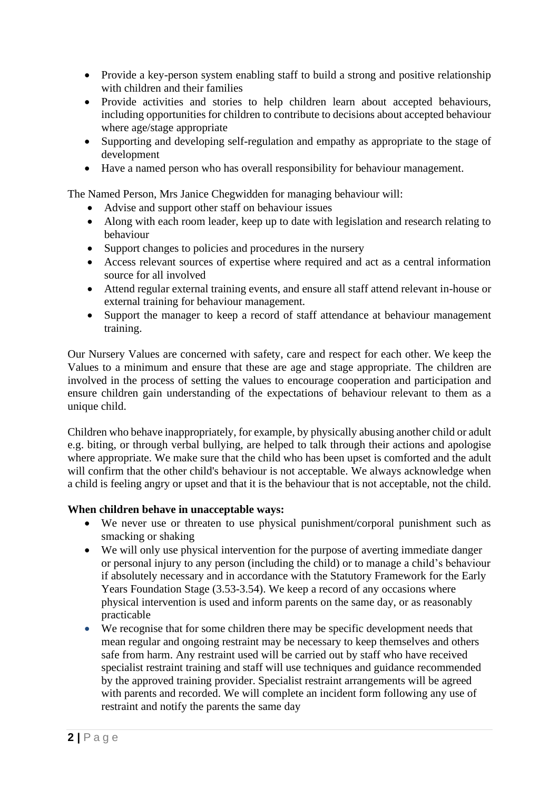- Provide a key-person system enabling staff to build a strong and positive relationship with children and their families
- Provide activities and stories to help children learn about accepted behaviours, including opportunities for children to contribute to decisions about accepted behaviour where age/stage appropriate
- Supporting and developing self-regulation and empathy as appropriate to the stage of development
- Have a named person who has overall responsibility for behaviour management.

The Named Person, Mrs Janice Chegwidden for managing behaviour will:

- Advise and support other staff on behaviour issues
- Along with each room leader, keep up to date with legislation and research relating to behaviour
- Support changes to policies and procedures in the nursery
- Access relevant sources of expertise where required and act as a central information source for all involved
- Attend regular external training events, and ensure all staff attend relevant in-house or external training for behaviour management.
- Support the manager to keep a record of staff attendance at behaviour management training.

Our Nursery Values are concerned with safety, care and respect for each other. We keep the Values to a minimum and ensure that these are age and stage appropriate. The children are involved in the process of setting the values to encourage cooperation and participation and ensure children gain understanding of the expectations of behaviour relevant to them as a unique child.

Children who behave inappropriately, for example, by physically abusing another child or adult e.g. biting, or through verbal bullying, are helped to talk through their actions and apologise where appropriate. We make sure that the child who has been upset is comforted and the adult will confirm that the other child's behaviour is not acceptable. We always acknowledge when a child is feeling angry or upset and that it is the behaviour that is not acceptable, not the child.

## **When children behave in unacceptable ways:**

- We never use or threaten to use physical punishment/corporal punishment such as smacking or shaking
- We will only use physical intervention for the purpose of averting immediate danger or personal injury to any person (including the child) or to manage a child's behaviour if absolutely necessary and in accordance with the Statutory Framework for the Early Years Foundation Stage (3.53-3.54). We keep a record of any occasions where physical intervention is used and inform parents on the same day, or as reasonably practicable
- We recognise that for some children there may be specific development needs that mean regular and ongoing restraint may be necessary to keep themselves and others safe from harm. Any restraint used will be carried out by staff who have received specialist restraint training and staff will use techniques and guidance recommended by the approved training provider. Specialist restraint arrangements will be agreed with parents and recorded. We will complete an incident form following any use of restraint and notify the parents the same day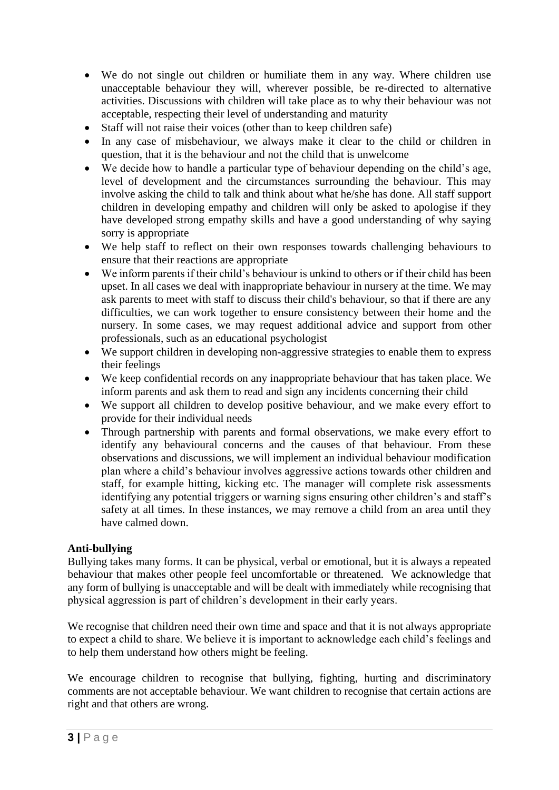- We do not single out children or humiliate them in any way. Where children use unacceptable behaviour they will, wherever possible, be re-directed to alternative activities. Discussions with children will take place as to why their behaviour was not acceptable, respecting their level of understanding and maturity
- Staff will not raise their voices (other than to keep children safe)
- In any case of misbehaviour, we always make it clear to the child or children in question, that it is the behaviour and not the child that is unwelcome
- We decide how to handle a particular type of behaviour depending on the child's age, level of development and the circumstances surrounding the behaviour. This may involve asking the child to talk and think about what he/she has done. All staff support children in developing empathy and children will only be asked to apologise if they have developed strong empathy skills and have a good understanding of why saying sorry is appropriate
- We help staff to reflect on their own responses towards challenging behaviours to ensure that their reactions are appropriate
- We inform parents if their child's behaviour is unkind to others or if their child has been upset. In all cases we deal with inappropriate behaviour in nursery at the time. We may ask parents to meet with staff to discuss their child's behaviour, so that if there are any difficulties, we can work together to ensure consistency between their home and the nursery. In some cases, we may request additional advice and support from other professionals, such as an educational psychologist
- We support children in developing non-aggressive strategies to enable them to express their feelings
- We keep confidential records on any inappropriate behaviour that has taken place. We inform parents and ask them to read and sign any incidents concerning their child
- We support all children to develop positive behaviour, and we make every effort to provide for their individual needs
- Through partnership with parents and formal observations, we make every effort to identify any behavioural concerns and the causes of that behaviour. From these observations and discussions, we will implement an individual behaviour modification plan where a child's behaviour involves aggressive actions towards other children and staff, for example hitting, kicking etc. The manager will complete risk assessments identifying any potential triggers or warning signs ensuring other children's and staff's safety at all times. In these instances, we may remove a child from an area until they have calmed down.

## **Anti-bullying**

Bullying takes many forms. It can be physical, verbal or emotional, but it is always a repeated behaviour that makes other people feel uncomfortable or threatened. We acknowledge that any form of bullying is unacceptable and will be dealt with immediately while recognising that physical aggression is part of children's development in their early years.

We recognise that children need their own time and space and that it is not always appropriate to expect a child to share. We believe it is important to acknowledge each child's feelings and to help them understand how others might be feeling.

We encourage children to recognise that bullying, fighting, hurting and discriminatory comments are not acceptable behaviour. We want children to recognise that certain actions are right and that others are wrong.